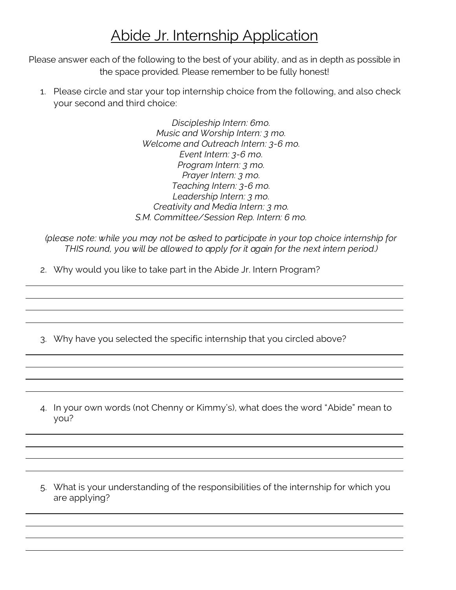## Abide Jr. Internship Application

Please answer each of the following to the best of your ability, and as in depth as possible in the space provided. Please remember to be fully honest!

1. Please circle and star your top internship choice from the following, and also check your second and third choice:

> *Discipleship Intern: 6mo. Music and Worship Intern: 3 mo. Welcome and Outreach Intern: 3-6 mo. Event Intern: 3-6 mo. Program Intern: 3 mo. Prayer Intern: 3 mo. Teaching Intern: 3-6 mo. Leadership Intern: 3 mo. Creativity and Media Intern: 3 mo. S.M. Committee/Session Rep. Intern: 6 mo.*

*(please note: while you may not be asked to participate in your top choice internship for THIS round, you will be allowed to apply for it again for the next intern period.)*

- 2. Why would you like to take part in the Abide Jr. Intern Program?
- 3. Why have you selected the specific internship that you circled above?
- 4. In your own words (not Chenny or Kimmy's), what does the word "Abide" mean to you?
- 5. What is your understanding of the responsibilities of the internship for which you are applying?